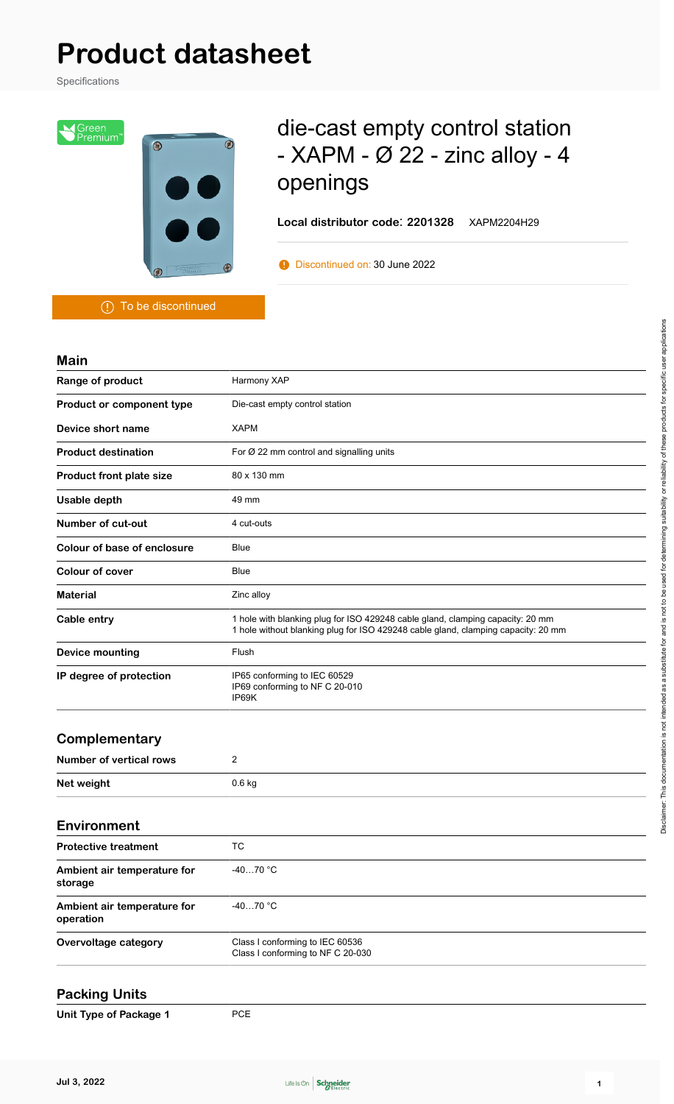# **Product datasheet**

Specifications



## die-cast empty control station - XAPM - Ø 22 - zinc alloy - 4 openings

**Local distributor code**: **2201328** XAPM2204H29

**Discontinued on: 30 June 2022** 

To be discontinued

| <b>Main</b>                 |                                                                                                                                                                     |  |  |  |  |  |  |
|-----------------------------|---------------------------------------------------------------------------------------------------------------------------------------------------------------------|--|--|--|--|--|--|
| Range of product            | Harmony XAP                                                                                                                                                         |  |  |  |  |  |  |
| Product or component type   | Die-cast empty control station                                                                                                                                      |  |  |  |  |  |  |
| Device short name           | <b>XAPM</b>                                                                                                                                                         |  |  |  |  |  |  |
| <b>Product destination</b>  | For $\varnothing$ 22 mm control and signalling units                                                                                                                |  |  |  |  |  |  |
| Product front plate size    | 80 x 130 mm                                                                                                                                                         |  |  |  |  |  |  |
| Usable depth                | 49 mm                                                                                                                                                               |  |  |  |  |  |  |
| Number of cut-out           | 4 cut-outs                                                                                                                                                          |  |  |  |  |  |  |
| Colour of base of enclosure | Blue                                                                                                                                                                |  |  |  |  |  |  |
| <b>Colour of cover</b>      | <b>Blue</b>                                                                                                                                                         |  |  |  |  |  |  |
| <b>Material</b>             | Zinc alloy                                                                                                                                                          |  |  |  |  |  |  |
| Cable entry                 | 1 hole with blanking plug for ISO 429248 cable gland, clamping capacity: 20 mm<br>1 hole without blanking plug for ISO 429248 cable gland, clamping capacity: 20 mm |  |  |  |  |  |  |
| <b>Device mounting</b>      | Flush                                                                                                                                                               |  |  |  |  |  |  |
| IP degree of protection     | IP65 conforming to IEC 60529<br>IP69 conforming to NF C 20-010<br>IP69K                                                                                             |  |  |  |  |  |  |

#### **Complementary**

| Number of vertical rows |          |
|-------------------------|----------|
| Net weight              | $0.6$ kg |

| <b>Environment</b>                       |                                                                      |  |  |  |  |  |
|------------------------------------------|----------------------------------------------------------------------|--|--|--|--|--|
| <b>Protective treatment</b>              | TC.                                                                  |  |  |  |  |  |
| Ambient air temperature for<br>storage   | $-4070 °C$                                                           |  |  |  |  |  |
| Ambient air temperature for<br>operation | $-4070 °C$                                                           |  |  |  |  |  |
| Overvoltage category                     | Class I conforming to IEC 60536<br>Class I conforming to NF C 20-030 |  |  |  |  |  |

#### **Packing Units**

**Unit Type of Package 1** PCE



Disclaimer: This documentation is not intended as a substitute for and is not to be used for determining suitability or reliability of these products for specific user applications

Disclaimer. This documentation is not intended as a substitute for and is not to be used for determining suitability or teliability of these products for specific user applications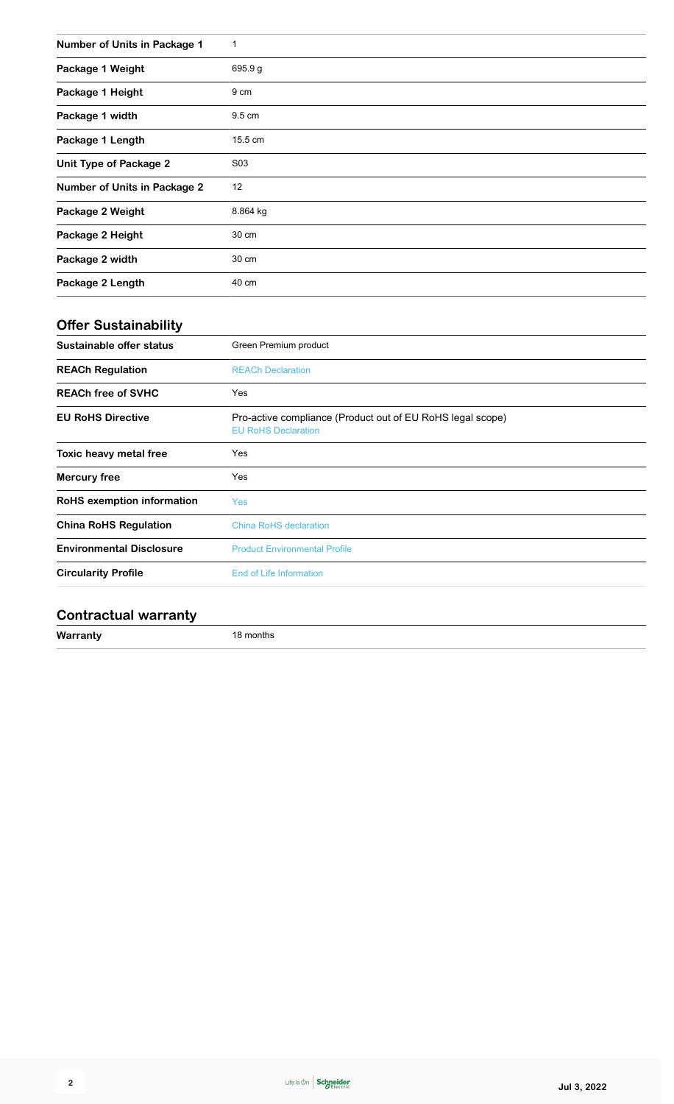| Number of Units in Package 1        | 1        |
|-------------------------------------|----------|
| Package 1 Weight                    | 695.9g   |
| Package 1 Height                    | 9 cm     |
| Package 1 width                     | 9.5 cm   |
| Package 1 Length                    | 15.5 cm  |
| <b>Unit Type of Package 2</b>       | S03      |
| <b>Number of Units in Package 2</b> | 12       |
| Package 2 Weight                    | 8.864 kg |
| Package 2 Height                    | 30 cm    |
| Package 2 width                     | 30 cm    |
| Package 2 Length                    | 40 cm    |

## **Offer Sustainability**

| Sustainable offer status          | Green Premium product                                                                    |  |  |  |  |  |  |
|-----------------------------------|------------------------------------------------------------------------------------------|--|--|--|--|--|--|
| <b>REACh Regulation</b>           | <b>REACh Declaration</b>                                                                 |  |  |  |  |  |  |
| <b>REACh free of SVHC</b>         | Yes                                                                                      |  |  |  |  |  |  |
| <b>EU RoHS Directive</b>          | Pro-active compliance (Product out of EU RoHS legal scope)<br><b>EU RoHS Declaration</b> |  |  |  |  |  |  |
| Toxic heavy metal free            | Yes                                                                                      |  |  |  |  |  |  |
| Mercury free                      | Yes                                                                                      |  |  |  |  |  |  |
| <b>RoHS</b> exemption information | <b>Yes</b>                                                                               |  |  |  |  |  |  |
| <b>China RoHS Regulation</b>      | <b>China RoHS declaration</b>                                                            |  |  |  |  |  |  |
| <b>Environmental Disclosure</b>   | <b>Product Environmental Profile</b>                                                     |  |  |  |  |  |  |
| <b>Circularity Profile</b>        | <b>End of Life Information</b>                                                           |  |  |  |  |  |  |
|                                   |                                                                                          |  |  |  |  |  |  |

### **Contractual warranty**

**Warranty** 18 months